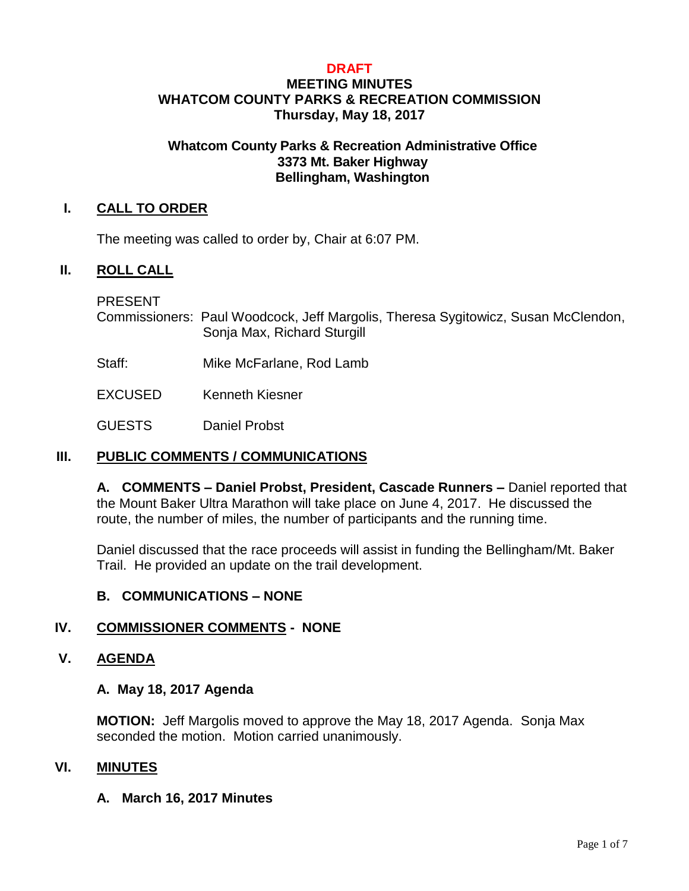## **DRAFT**

## **MEETING MINUTES WHATCOM COUNTY PARKS & RECREATION COMMISSION Thursday, May 18, 2017**

## **Whatcom County Parks & Recreation Administrative Office 3373 Mt. Baker Highway Bellingham, Washington**

## **I. CALL TO ORDER**

The meeting was called to order by, Chair at 6:07 PM.

## **II. ROLL CALL**

PRESENT

Commissioners: Paul Woodcock, Jeff Margolis, Theresa Sygitowicz, Susan McClendon, Sonja Max, Richard Sturgill

- Staff: Mike McFarlane, Rod Lamb
- EXCUSED Kenneth Kiesner

GUESTS Daniel Probst

## **III. PUBLIC COMMENTS / COMMUNICATIONS**

**A. COMMENTS – Daniel Probst, President, Cascade Runners –** Daniel reported that the Mount Baker Ultra Marathon will take place on June 4, 2017. He discussed the route, the number of miles, the number of participants and the running time.

Daniel discussed that the race proceeds will assist in funding the Bellingham/Mt. Baker Trail. He provided an update on the trail development.

## **B. COMMUNICATIONS – NONE**

## **IV. COMMISSIONER COMMENTS - NONE**

## **V. AGENDA**

## **A. May 18, 2017 Agenda**

**MOTION:** Jeff Margolis moved to approve the May 18, 2017 Agenda. Sonja Max seconded the motion. Motion carried unanimously.

#### **VI. MINUTES**

## **A. March 16, 2017 Minutes**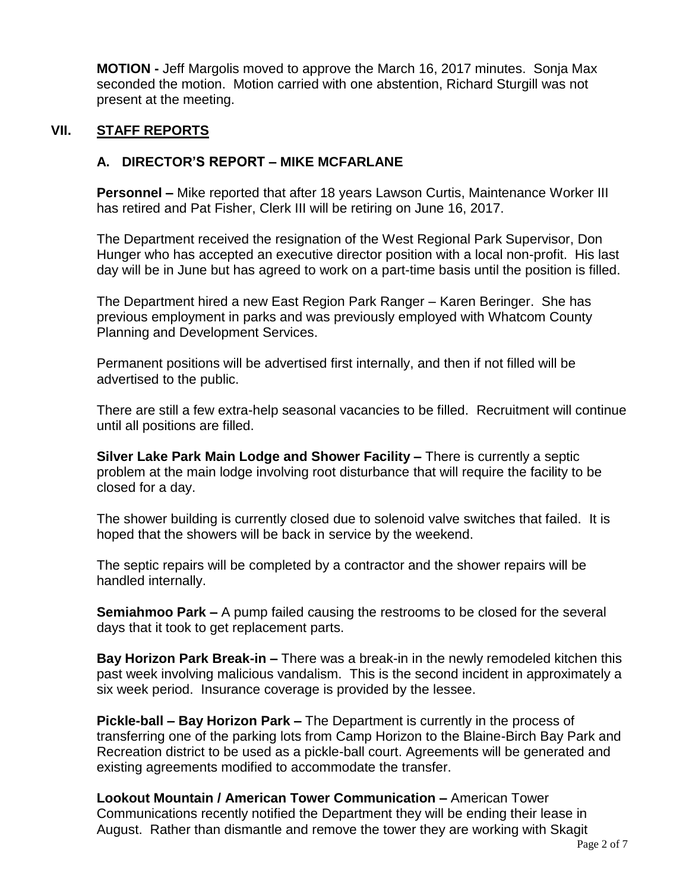**MOTION -** Jeff Margolis moved to approve the March 16, 2017 minutes. Sonja Max seconded the motion. Motion carried with one abstention, Richard Sturgill was not present at the meeting.

## **VII. STAFF REPORTS**

## **A. DIRECTOR'S REPORT – MIKE MCFARLANE**

**Personnel –** Mike reported that after 18 years Lawson Curtis, Maintenance Worker III has retired and Pat Fisher, Clerk III will be retiring on June 16, 2017.

The Department received the resignation of the West Regional Park Supervisor, Don Hunger who has accepted an executive director position with a local non-profit. His last day will be in June but has agreed to work on a part-time basis until the position is filled.

The Department hired a new East Region Park Ranger – Karen Beringer. She has previous employment in parks and was previously employed with Whatcom County Planning and Development Services.

Permanent positions will be advertised first internally, and then if not filled will be advertised to the public.

There are still a few extra-help seasonal vacancies to be filled. Recruitment will continue until all positions are filled.

**Silver Lake Park Main Lodge and Shower Facility –** There is currently a septic problem at the main lodge involving root disturbance that will require the facility to be closed for a day.

The shower building is currently closed due to solenoid valve switches that failed. It is hoped that the showers will be back in service by the weekend.

The septic repairs will be completed by a contractor and the shower repairs will be handled internally.

**Semiahmoo Park –** A pump failed causing the restrooms to be closed for the several days that it took to get replacement parts.

**Bay Horizon Park Break-in –** There was a break-in in the newly remodeled kitchen this past week involving malicious vandalism. This is the second incident in approximately a six week period. Insurance coverage is provided by the lessee.

**Pickle-ball – Bay Horizon Park –** The Department is currently in the process of transferring one of the parking lots from Camp Horizon to the Blaine-Birch Bay Park and Recreation district to be used as a pickle-ball court. Agreements will be generated and existing agreements modified to accommodate the transfer.

**Lookout Mountain / American Tower Communication –** American Tower Communications recently notified the Department they will be ending their lease in August. Rather than dismantle and remove the tower they are working with Skagit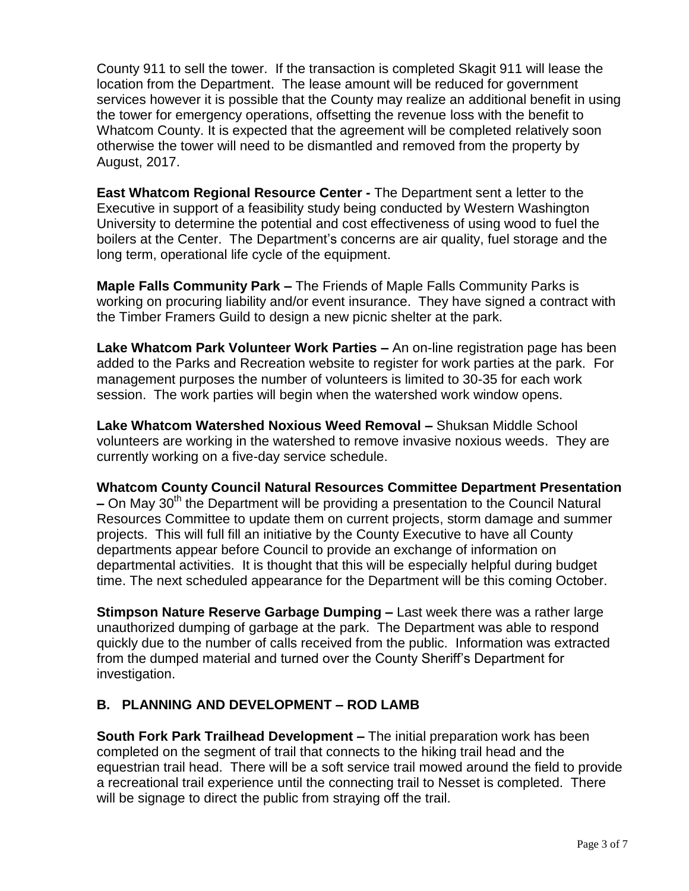County 911 to sell the tower. If the transaction is completed Skagit 911 will lease the location from the Department. The lease amount will be reduced for government services however it is possible that the County may realize an additional benefit in using the tower for emergency operations, offsetting the revenue loss with the benefit to Whatcom County. It is expected that the agreement will be completed relatively soon otherwise the tower will need to be dismantled and removed from the property by August, 2017.

**East Whatcom Regional Resource Center -** The Department sent a letter to the Executive in support of a feasibility study being conducted by Western Washington University to determine the potential and cost effectiveness of using wood to fuel the boilers at the Center. The Department's concerns are air quality, fuel storage and the long term, operational life cycle of the equipment.

**Maple Falls Community Park –** The Friends of Maple Falls Community Parks is working on procuring liability and/or event insurance. They have signed a contract with the Timber Framers Guild to design a new picnic shelter at the park.

**Lake Whatcom Park Volunteer Work Parties –** An on-line registration page has been added to the Parks and Recreation website to register for work parties at the park. For management purposes the number of volunteers is limited to 30-35 for each work session. The work parties will begin when the watershed work window opens.

**Lake Whatcom Watershed Noxious Weed Removal –** Shuksan Middle School volunteers are working in the watershed to remove invasive noxious weeds. They are currently working on a five-day service schedule.

**Whatcom County Council Natural Resources Committee Department Presentation –** On May 30th the Department will be providing a presentation to the Council Natural Resources Committee to update them on current projects, storm damage and summer projects. This will full fill an initiative by the County Executive to have all County departments appear before Council to provide an exchange of information on departmental activities. It is thought that this will be especially helpful during budget time. The next scheduled appearance for the Department will be this coming October.

**Stimpson Nature Reserve Garbage Dumping –** Last week there was a rather large unauthorized dumping of garbage at the park. The Department was able to respond quickly due to the number of calls received from the public. Information was extracted from the dumped material and turned over the County Sheriff's Department for investigation.

# **B. PLANNING AND DEVELOPMENT – ROD LAMB**

**South Fork Park Trailhead Development –** The initial preparation work has been completed on the segment of trail that connects to the hiking trail head and the equestrian trail head. There will be a soft service trail mowed around the field to provide a recreational trail experience until the connecting trail to Nesset is completed. There will be signage to direct the public from straying off the trail.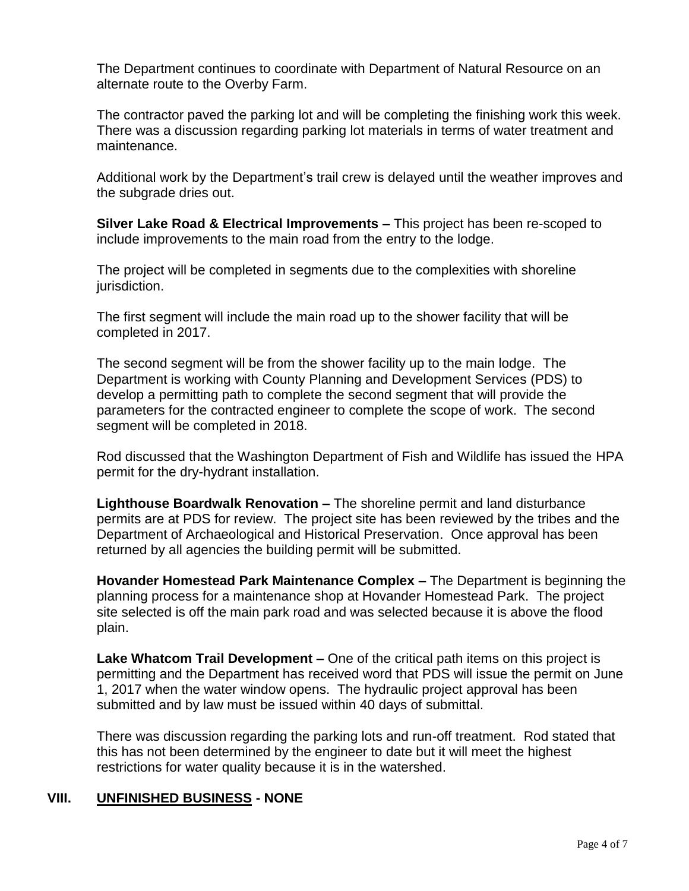The Department continues to coordinate with Department of Natural Resource on an alternate route to the Overby Farm.

The contractor paved the parking lot and will be completing the finishing work this week. There was a discussion regarding parking lot materials in terms of water treatment and maintenance.

Additional work by the Department's trail crew is delayed until the weather improves and the subgrade dries out.

**Silver Lake Road & Electrical Improvements –** This project has been re-scoped to include improvements to the main road from the entry to the lodge.

The project will be completed in segments due to the complexities with shoreline jurisdiction.

The first segment will include the main road up to the shower facility that will be completed in 2017.

The second segment will be from the shower facility up to the main lodge. The Department is working with County Planning and Development Services (PDS) to develop a permitting path to complete the second segment that will provide the parameters for the contracted engineer to complete the scope of work. The second segment will be completed in 2018.

Rod discussed that the Washington Department of Fish and Wildlife has issued the HPA permit for the dry-hydrant installation.

**Lighthouse Boardwalk Renovation –** The shoreline permit and land disturbance permits are at PDS for review. The project site has been reviewed by the tribes and the Department of Archaeological and Historical Preservation. Once approval has been returned by all agencies the building permit will be submitted.

**Hovander Homestead Park Maintenance Complex –** The Department is beginning the planning process for a maintenance shop at Hovander Homestead Park. The project site selected is off the main park road and was selected because it is above the flood plain.

**Lake Whatcom Trail Development –** One of the critical path items on this project is permitting and the Department has received word that PDS will issue the permit on June 1, 2017 when the water window opens. The hydraulic project approval has been submitted and by law must be issued within 40 days of submittal.

There was discussion regarding the parking lots and run-off treatment. Rod stated that this has not been determined by the engineer to date but it will meet the highest restrictions for water quality because it is in the watershed.

## **VIII. UNFINISHED BUSINESS - NONE**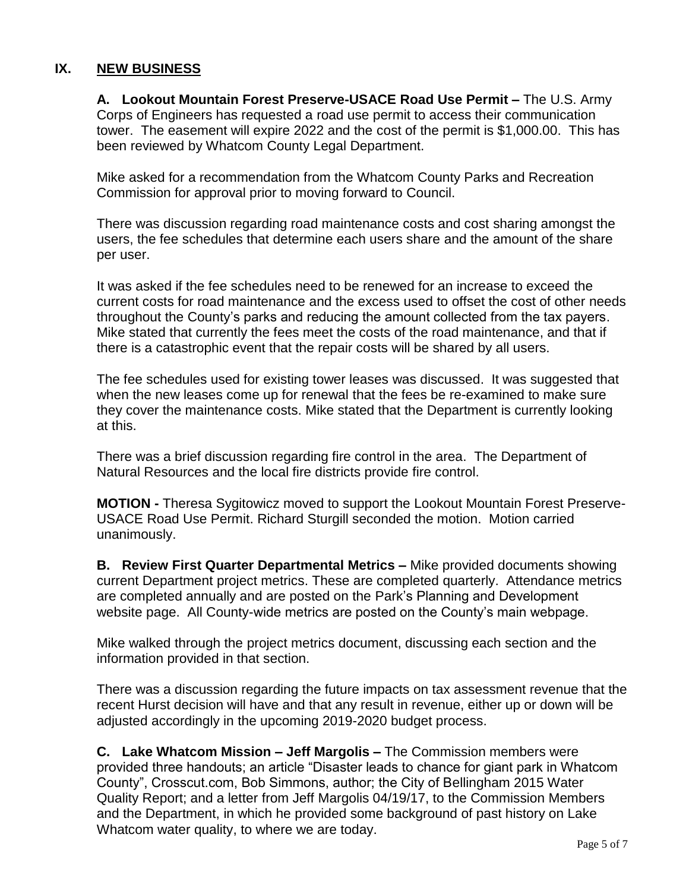## **IX. NEW BUSINESS**

**A. Lookout Mountain Forest Preserve-USACE Road Use Permit –** The U.S. Army Corps of Engineers has requested a road use permit to access their communication tower. The easement will expire 2022 and the cost of the permit is \$1,000.00. This has been reviewed by Whatcom County Legal Department.

Mike asked for a recommendation from the Whatcom County Parks and Recreation Commission for approval prior to moving forward to Council.

There was discussion regarding road maintenance costs and cost sharing amongst the users, the fee schedules that determine each users share and the amount of the share per user.

It was asked if the fee schedules need to be renewed for an increase to exceed the current costs for road maintenance and the excess used to offset the cost of other needs throughout the County's parks and reducing the amount collected from the tax payers. Mike stated that currently the fees meet the costs of the road maintenance, and that if there is a catastrophic event that the repair costs will be shared by all users.

The fee schedules used for existing tower leases was discussed. It was suggested that when the new leases come up for renewal that the fees be re-examined to make sure they cover the maintenance costs. Mike stated that the Department is currently looking at this.

There was a brief discussion regarding fire control in the area. The Department of Natural Resources and the local fire districts provide fire control.

**MOTION -** Theresa Sygitowicz moved to support the Lookout Mountain Forest Preserve-USACE Road Use Permit. Richard Sturgill seconded the motion. Motion carried unanimously.

**B. Review First Quarter Departmental Metrics –** Mike provided documents showing current Department project metrics. These are completed quarterly. Attendance metrics are completed annually and are posted on the Park's Planning and Development website page. All County-wide metrics are posted on the County's main webpage.

Mike walked through the project metrics document, discussing each section and the information provided in that section.

There was a discussion regarding the future impacts on tax assessment revenue that the recent Hurst decision will have and that any result in revenue, either up or down will be adjusted accordingly in the upcoming 2019-2020 budget process.

**C. Lake Whatcom Mission – Jeff Margolis –** The Commission members were provided three handouts; an article "Disaster leads to chance for giant park in Whatcom County", Crosscut.com, Bob Simmons, author; the City of Bellingham 2015 Water Quality Report; and a letter from Jeff Margolis 04/19/17, to the Commission Members and the Department, in which he provided some background of past history on Lake Whatcom water quality, to where we are today.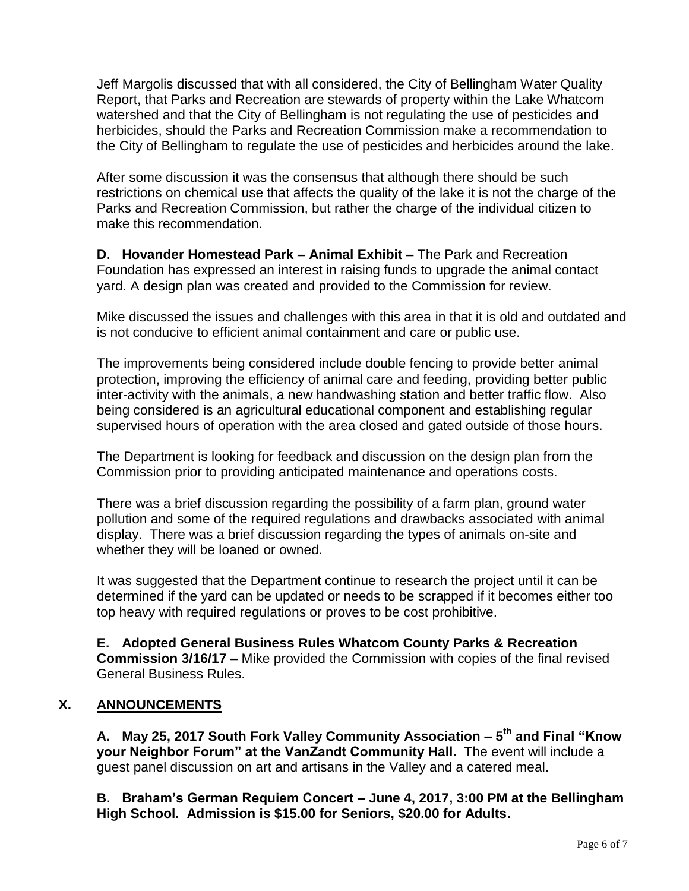Jeff Margolis discussed that with all considered, the City of Bellingham Water Quality Report, that Parks and Recreation are stewards of property within the Lake Whatcom watershed and that the City of Bellingham is not regulating the use of pesticides and herbicides, should the Parks and Recreation Commission make a recommendation to the City of Bellingham to regulate the use of pesticides and herbicides around the lake.

After some discussion it was the consensus that although there should be such restrictions on chemical use that affects the quality of the lake it is not the charge of the Parks and Recreation Commission, but rather the charge of the individual citizen to make this recommendation.

**D. Hovander Homestead Park – Animal Exhibit –** The Park and Recreation Foundation has expressed an interest in raising funds to upgrade the animal contact yard. A design plan was created and provided to the Commission for review.

Mike discussed the issues and challenges with this area in that it is old and outdated and is not conducive to efficient animal containment and care or public use.

The improvements being considered include double fencing to provide better animal protection, improving the efficiency of animal care and feeding, providing better public inter-activity with the animals, a new handwashing station and better traffic flow. Also being considered is an agricultural educational component and establishing regular supervised hours of operation with the area closed and gated outside of those hours.

The Department is looking for feedback and discussion on the design plan from the Commission prior to providing anticipated maintenance and operations costs.

There was a brief discussion regarding the possibility of a farm plan, ground water pollution and some of the required regulations and drawbacks associated with animal display. There was a brief discussion regarding the types of animals on-site and whether they will be loaned or owned.

It was suggested that the Department continue to research the project until it can be determined if the yard can be updated or needs to be scrapped if it becomes either too top heavy with required regulations or proves to be cost prohibitive.

**E. Adopted General Business Rules Whatcom County Parks & Recreation Commission 3/16/17 –** Mike provided the Commission with copies of the final revised General Business Rules.

## **X. ANNOUNCEMENTS**

**A. May 25, 2017 South Fork Valley Community Association – 5 th and Final "Know your Neighbor Forum" at the VanZandt Community Hall.** The event will include a guest panel discussion on art and artisans in the Valley and a catered meal.

**B. Braham's German Requiem Concert – June 4, 2017, 3:00 PM at the Bellingham High School. Admission is \$15.00 for Seniors, \$20.00 for Adults.**